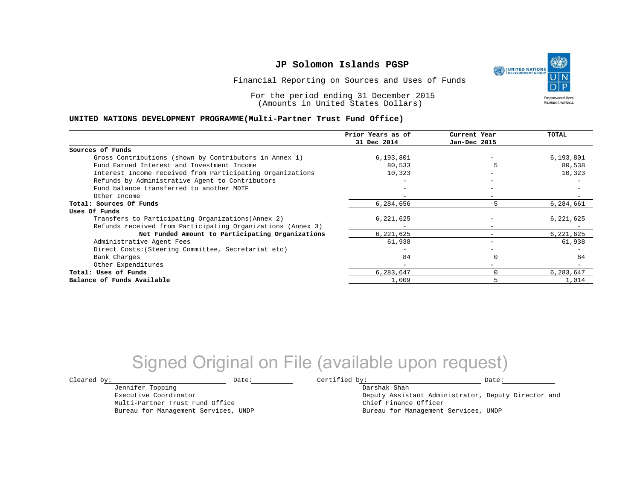Financial Reporting on Sources and Uses of Funds

For the period ending 31 December 2015 (Amounts in United States Dollars)

#### **UNITED NATIONS DEVELOPMENT PROGRAMME(Multi-Partner Trust Fund Office)**

| 31 Dec 2014<br>Jan-Dec 2015<br>Sources of Funds<br>6,193,801<br>Gross Contributions (shown by Contributors in Annex 1)<br>6,193,801<br>80,538<br>Fund Earned Interest and Investment Income<br>80,533<br>Interest Income received from Participating Organizations<br>10,323<br>10,323<br>Refunds by Administrative Agent to Contributors<br>Fund balance transferred to another MDTF |    |
|---------------------------------------------------------------------------------------------------------------------------------------------------------------------------------------------------------------------------------------------------------------------------------------------------------------------------------------------------------------------------------------|----|
|                                                                                                                                                                                                                                                                                                                                                                                       |    |
|                                                                                                                                                                                                                                                                                                                                                                                       |    |
|                                                                                                                                                                                                                                                                                                                                                                                       |    |
|                                                                                                                                                                                                                                                                                                                                                                                       |    |
|                                                                                                                                                                                                                                                                                                                                                                                       |    |
|                                                                                                                                                                                                                                                                                                                                                                                       |    |
|                                                                                                                                                                                                                                                                                                                                                                                       |    |
| Other Income                                                                                                                                                                                                                                                                                                                                                                          |    |
| Total: Sources Of Funds<br>6,284,656<br>6,284,661<br>5                                                                                                                                                                                                                                                                                                                                |    |
| Uses Of Funds                                                                                                                                                                                                                                                                                                                                                                         |    |
| Transfers to Participating Organizations (Annex 2)<br>6,221,625<br>6,221,625                                                                                                                                                                                                                                                                                                          |    |
| Refunds received from Participating Organizations (Annex 3)<br>$\overline{\phantom{m}}$                                                                                                                                                                                                                                                                                               |    |
| 6,221,625<br>Net Funded Amount to Participating Organizations<br>6,221,625                                                                                                                                                                                                                                                                                                            |    |
| 61,938<br>61,938<br>Administrative Agent Fees                                                                                                                                                                                                                                                                                                                                         |    |
| Direct Costs: (Steering Committee, Secretariat etc)                                                                                                                                                                                                                                                                                                                                   |    |
| 84<br>Bank Charges                                                                                                                                                                                                                                                                                                                                                                    | 84 |
| Other Expenditures<br>$-$                                                                                                                                                                                                                                                                                                                                                             |    |
| 6,283,647<br>0<br>6,283,647<br>Total: Uses of Funds                                                                                                                                                                                                                                                                                                                                   |    |
| 5<br>1,014<br>Balance of Funds Available<br>1,009                                                                                                                                                                                                                                                                                                                                     |    |

## Signed Original on File (available upon request)

Jennifer Topping Executive Coordinator Multi-Partner Trust Fund Office Bureau for Management Services, UNDP

 $\texttt{Cleared by:}\footnotesize \begin{minipage}{0.9\linewidth} \texttt{Date:}\footnotesize \begin{minipage}{0.9\linewidth} \texttt{Date:}\footnotesize \begin{minipage}{0.9\linewidth} \end{minipage} \end{minipage}$ 

Darshak Shah Deputy Assistant Administrator, Deputy Director and Chief Finance Officer Bureau for Management Services, UNDP

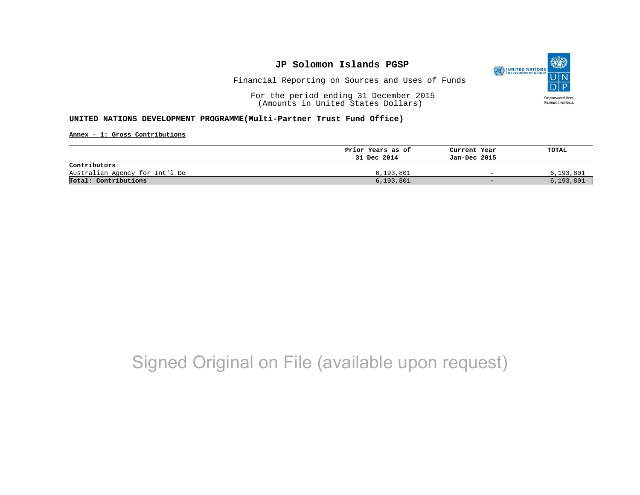

Financial Reporting on Sources and Uses of Funds

For the period ending 31 December 2015 (Amounts in United States Dollars)

#### **UNITED NATIONS DEVELOPMENT PROGRAMME(Multi-Partner Trust Fund Office)**

**Annex - 1: Gross Contributions**

|                                | Prior Years as of | Current Year             | TOTAL     |
|--------------------------------|-------------------|--------------------------|-----------|
|                                | 31 Dec 2014       | Jan-Dec 2015             |           |
| Contributors                   |                   |                          |           |
| Australian Agency for Int'l De | 6,193,801         | $\overline{\phantom{0}}$ | 6,193,801 |
| Total: Contributions           | 6, 193, 801       | $-$                      | 6,193,801 |

# Signed Original on File (available upon request)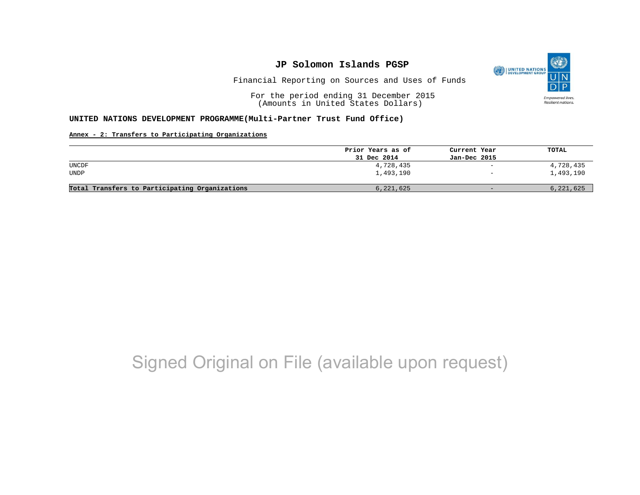

Financial Reporting on Sources and Uses of Funds

For the period ending 31 December 2015 (Amounts in United States Dollars)

#### **UNITED NATIONS DEVELOPMENT PROGRAMME(Multi-Partner Trust Fund Office)**

#### **Annex - 2: Transfers to Participating Organizations**

|                                                | Prior Years as of | Current Year             | TOTAL     |
|------------------------------------------------|-------------------|--------------------------|-----------|
|                                                | 31 Dec 2014       | Jan-Dec 2015             |           |
| UNCDF                                          | 4,728,435         | $\overline{\phantom{a}}$ | 4,728,435 |
| UNDP                                           | 1,493,190         | $\overline{\phantom{0}}$ | 1,493,190 |
| Total Transfers to Participating Organizations | 6,221,625         | $-$                      | 6,221,625 |

# Signed Original on File (available upon request)